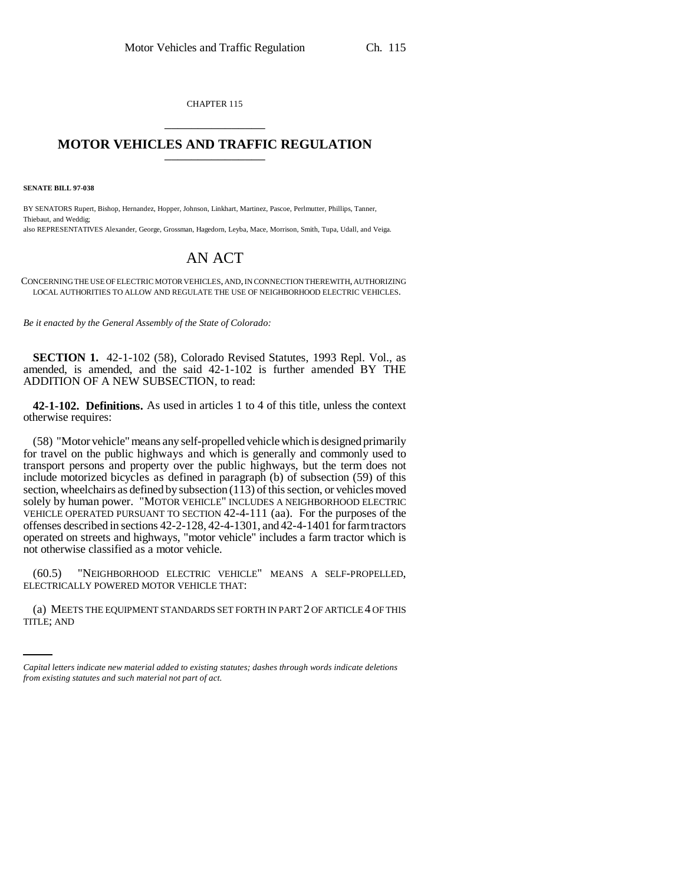CHAPTER 115 \_\_\_\_\_\_\_\_\_\_\_\_\_\_\_

## **MOTOR VEHICLES AND TRAFFIC REGULATION** \_\_\_\_\_\_\_\_\_\_\_\_\_\_\_

**SENATE BILL 97-038**

BY SENATORS Rupert, Bishop, Hernandez, Hopper, Johnson, Linkhart, Martinez, Pascoe, Perlmutter, Phillips, Tanner, Thiebaut, and Weddig;

also REPRESENTATIVES Alexander, George, Grossman, Hagedorn, Leyba, Mace, Morrison, Smith, Tupa, Udall, and Veiga.

## AN ACT

CONCERNING THE USE OF ELECTRIC MOTOR VEHICLES, AND, IN CONNECTION THEREWITH, AUTHORIZING LOCAL AUTHORITIES TO ALLOW AND REGULATE THE USE OF NEIGHBORHOOD ELECTRIC VEHICLES.

*Be it enacted by the General Assembly of the State of Colorado:*

**SECTION 1.** 42-1-102 (58), Colorado Revised Statutes, 1993 Repl. Vol., as amended, is amended, and the said 42-1-102 is further amended BY THE ADDITION OF A NEW SUBSECTION, to read:

**42-1-102. Definitions.** As used in articles 1 to 4 of this title, unless the context otherwise requires:

(58) "Motor vehicle" means any self-propelled vehicle which is designed primarily for travel on the public highways and which is generally and commonly used to transport persons and property over the public highways, but the term does not include motorized bicycles as defined in paragraph (b) of subsection (59) of this section, wheelchairs as defined by subsection (113) of this section, or vehicles moved solely by human power. "MOTOR VEHICLE" INCLUDES A NEIGHBORHOOD ELECTRIC VEHICLE OPERATED PURSUANT TO SECTION 42-4-111 (aa). For the purposes of the offenses described in sections 42-2-128, 42-4-1301, and 42-4-1401 for farm tractors operated on streets and highways, "motor vehicle" includes a farm tractor which is not otherwise classified as a motor vehicle.

(60.5) "NEIGHBORHOOD ELECTRIC VEHICLE" MEANS A SELF-PROPELLED, ELECTRICALLY POWERED MOTOR VEHICLE THAT:

(a) MEETS THE EQUIPMENT STANDARDS SET FORTH IN PART 2 OF ARTICLE 4 OF THIS TITLE; AND

*Capital letters indicate new material added to existing statutes; dashes through words indicate deletions from existing statutes and such material not part of act.*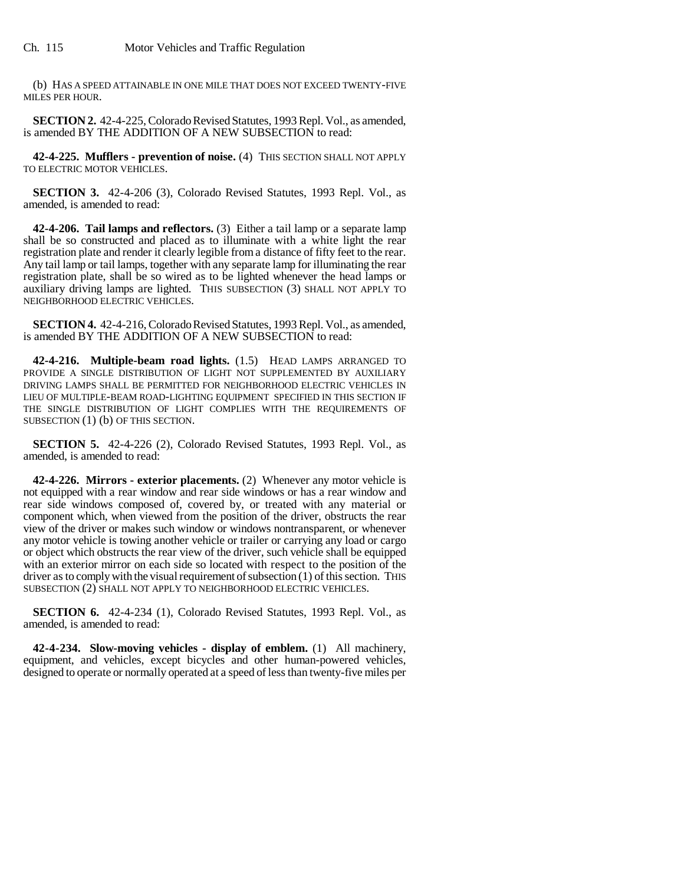(b) HAS A SPEED ATTAINABLE IN ONE MILE THAT DOES NOT EXCEED TWENTY-FIVE MILES PER HOUR.

**SECTION 2.** 42-4-225, Colorado Revised Statutes, 1993 Repl. Vol., as amended, is amended BY THE ADDITION OF A NEW SUBSECTION to read:

**42-4-225. Mufflers - prevention of noise.** (4) THIS SECTION SHALL NOT APPLY TO ELECTRIC MOTOR VEHICLES.

**SECTION 3.** 42-4-206 (3), Colorado Revised Statutes, 1993 Repl. Vol., as amended, is amended to read:

**42-4-206. Tail lamps and reflectors.** (3) Either a tail lamp or a separate lamp shall be so constructed and placed as to illuminate with a white light the rear registration plate and render it clearly legible from a distance of fifty feet to the rear. Any tail lamp or tail lamps, together with any separate lamp for illuminating the rear registration plate, shall be so wired as to be lighted whenever the head lamps or auxiliary driving lamps are lighted. THIS SUBSECTION (3) SHALL NOT APPLY TO NEIGHBORHOOD ELECTRIC VEHICLES.

**SECTION 4.** 42-4-216, Colorado Revised Statutes, 1993 Repl. Vol., as amended, is amended BY THE ADDITION OF A NEW SUBSECTION to read:

**42-4-216. Multiple-beam road lights.** (1.5) HEAD LAMPS ARRANGED TO PROVIDE A SINGLE DISTRIBUTION OF LIGHT NOT SUPPLEMENTED BY AUXILIARY DRIVING LAMPS SHALL BE PERMITTED FOR NEIGHBORHOOD ELECTRIC VEHICLES IN LIEU OF MULTIPLE-BEAM ROAD-LIGHTING EQUIPMENT SPECIFIED IN THIS SECTION IF THE SINGLE DISTRIBUTION OF LIGHT COMPLIES WITH THE REQUIREMENTS OF SUBSECTION (1) (b) OF THIS SECTION.

**SECTION 5.** 42-4-226 (2), Colorado Revised Statutes, 1993 Repl. Vol., as amended, is amended to read:

**42-4-226. Mirrors - exterior placements.** (2) Whenever any motor vehicle is not equipped with a rear window and rear side windows or has a rear window and rear side windows composed of, covered by, or treated with any material or component which, when viewed from the position of the driver, obstructs the rear view of the driver or makes such window or windows nontransparent, or whenever any motor vehicle is towing another vehicle or trailer or carrying any load or cargo or object which obstructs the rear view of the driver, such vehicle shall be equipped with an exterior mirror on each side so located with respect to the position of the driver as to comply with the visual requirement of subsection (1) of this section. THIS SUBSECTION (2) SHALL NOT APPLY TO NEIGHBORHOOD ELECTRIC VEHICLES.

**SECTION 6.** 42-4-234 (1), Colorado Revised Statutes, 1993 Repl. Vol., as amended, is amended to read:

**42-4-234. Slow-moving vehicles - display of emblem.** (1) All machinery, equipment, and vehicles, except bicycles and other human-powered vehicles, designed to operate or normally operated at a speed of less than twenty-five miles per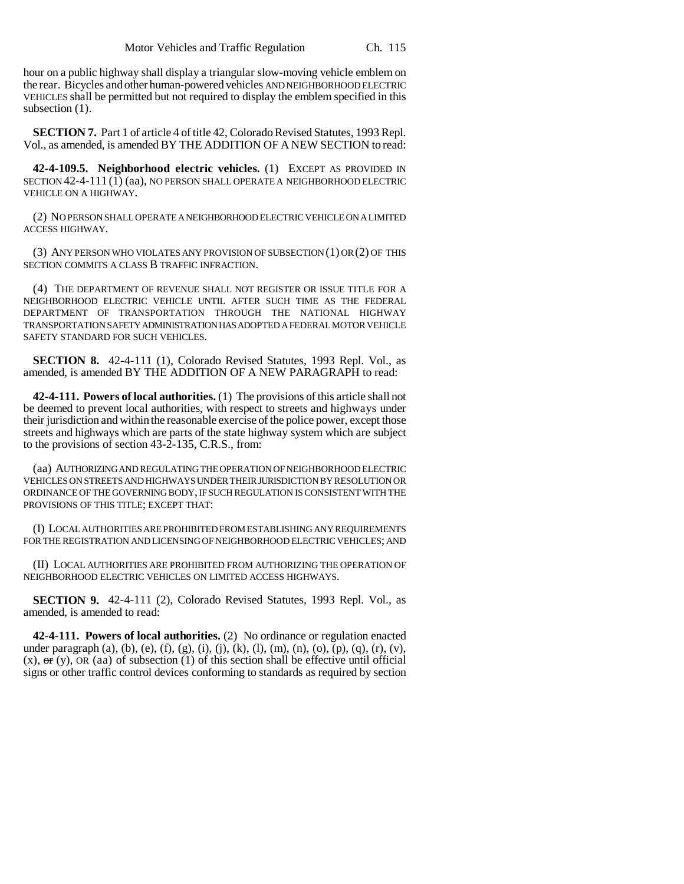hour on a public highway shall display a triangular slow-moving vehicle emblem on the rear. Bicycles and other human-powered vehicles AND NEIGHBORHOOD ELECTRIC VEHICLES shall be permitted but not required to display the emblem specified in this subsection  $(1)$ .

**SECTION 7.** Part 1 of article 4 of title 42, Colorado Revised Statutes, 1993 Repl. Vol., as amended, is amended BY THE ADDITION OF A NEW SECTION to read:

**42-4-109.5. Neighborhood electric vehicles.** (1) EXCEPT AS PROVIDED IN SECTION 42-4-111 (1) (aa), NO PERSON SHALL OPERATE A NEIGHBORHOOD ELECTRIC VEHICLE ON A HIGHWAY.

(2) NO PERSON SHALL OPERATE A NEIGHBORHOOD ELECTRIC VEHICLE ON A LIMITED ACCESS HIGHWAY.

(3) ANY PERSON WHO VIOLATES ANY PROVISION OF SUBSECTION (1) OR (2) OF THIS SECTION COMMITS A CLASS B TRAFFIC INFRACTION.

(4) THE DEPARTMENT OF REVENUE SHALL NOT REGISTER OR ISSUE TITLE FOR A NEIGHBORHOOD ELECTRIC VEHICLE UNTIL AFTER SUCH TIME AS THE FEDERAL DEPARTMENT OF TRANSPORTATION THROUGH THE NATIONAL HIGHWAY TRANSPORTATION SAFETY ADMINISTRATION HAS ADOPTED A FEDERAL MOTOR VEHICLE SAFETY STANDARD FOR SUCH VEHICLES.

**SECTION 8.** 42-4-111 (1), Colorado Revised Statutes, 1993 Repl. Vol., as amended, is amended BY THE ADDITION OF A NEW PARAGRAPH to read:

**42-4-111. Powers of local authorities.** (1) The provisions of this article shall not be deemed to prevent local authorities, with respect to streets and highways under their jurisdiction and within the reasonable exercise of the police power, except those streets and highways which are parts of the state highway system which are subject to the provisions of section 43-2-135, C.R.S., from:

(aa) AUTHORIZING AND REGULATING THE OPERATION OF NEIGHBORHOOD ELECTRIC VEHICLES ON STREETS AND HIGHWAYS UNDER THEIR JURISDICTION BY RESOLUTION OR ORDINANCE OF THE GOVERNING BODY, IF SUCH REGULATION IS CONSISTENT WITH THE PROVISIONS OF THIS TITLE; EXCEPT THAT:

(I) LOCAL AUTHORITIES ARE PROHIBITED FROM ESTABLISHING ANY REQUIREMENTS FOR THE REGISTRATION AND LICENSING OF NEIGHBORHOOD ELECTRIC VEHICLES; AND

(II) LOCAL AUTHORITIES ARE PROHIBITED FROM AUTHORIZING THE OPERATION OF NEIGHBORHOOD ELECTRIC VEHICLES ON LIMITED ACCESS HIGHWAYS.

**SECTION 9.** 42-4-111 (2), Colorado Revised Statutes, 1993 Repl. Vol., as amended, is amended to read:

**42-4-111. Powers of local authorities.** (2) No ordinance or regulation enacted under paragraph (a), (b), (e), (f), (g), (i), (j), (k), (l), (m), (n), (o), (p), (q), (r), (v),  $(x)$ ,  $\sigma$ r $(y)$ , OR (aa) of subsection (1) of this section shall be effective until official signs or other traffic control devices conforming to standards as required by section